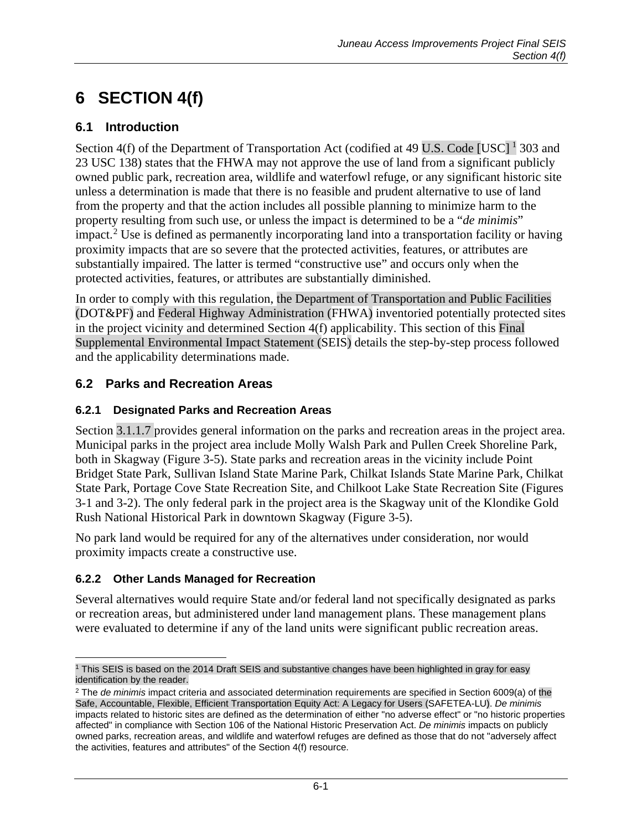# **6 SECTION 4(f)**

### **6.1 Introduction**

Section 4(f) of the Department of Transportation Act (codified at 49 U.S. Code [USC]  $^1$  $^1$  303 and 23 USC 138) states that the FHWA may not approve the use of land from a significant publicly owned public park, recreation area, wildlife and waterfowl refuge, or any significant historic site unless a determination is made that there is no feasible and prudent alternative to use of land from the property and that the action includes all possible planning to minimize harm to the property resulting from such use, or unless the impact is determined to be a "*de minimis*" impact.<sup>[2](#page-0-1)</sup> Use is defined as permanently incorporating land into a transportation facility or having proximity impacts that are so severe that the protected activities, features, or attributes are substantially impaired. The latter is termed "constructive use" and occurs only when the protected activities, features, or attributes are substantially diminished.

In order to comply with this regulation, the Department of Transportation and Public Facilities (DOT&PF) and Federal Highway Administration (FHWA) inventoried potentially protected sites in the project vicinity and determined Section 4(f) applicability. This section of this Final Supplemental Environmental Impact Statement (SEIS) details the step-by-step process followed and the applicability determinations made.

#### **6.2 Parks and Recreation Areas**

#### **6.2.1 Designated Parks and Recreation Areas**

Section 3.1.1.7 provides general information on the parks and recreation areas in the project area. Municipal parks in the project area include Molly Walsh Park and Pullen Creek Shoreline Park, both in Skagway (Figure 3-5). State parks and recreation areas in the vicinity include Point Bridget State Park, Sullivan Island State Marine Park, Chilkat Islands State Marine Park, Chilkat State Park, Portage Cove State Recreation Site, and Chilkoot Lake State Recreation Site (Figures 3-1 and 3-2). The only federal park in the project area is the Skagway unit of the Klondike Gold Rush National Historical Park in downtown Skagway (Figure 3-5).

No park land would be required for any of the alternatives under consideration, nor would proximity impacts create a constructive use.

#### **6.2.2 Other Lands Managed for Recreation**

Several alternatives would require State and/or federal land not specifically designated as parks or recreation areas, but administered under land management plans. These management plans were evaluated to determine if any of the land units were significant public recreation areas.

<span id="page-0-0"></span> $\overline{a}$ <sup>1</sup> This SEIS is based on the 2014 Draft SEIS and substantive changes have been highlighted in gray for easy identification by the reader.

<span id="page-0-1"></span><sup>2</sup> The *de minimis* impact criteria and associated determination requirements are specified in Section 6009(a) of the Safe, Accountable, Flexible, Efficient Transportation Equity Act: A Legacy for Users (SAFETEA-LU). *De minimis* impacts related to historic sites are defined as the determination of either "no adverse effect" or "no historic properties affected" in compliance with Section 106 of the National Historic Preservation Act. *De minimis* impacts on publicly owned parks, recreation areas, and wildlife and waterfowl refuges are defined as those that do not "adversely affect the activities, features and attributes" of the Section 4(f) resource.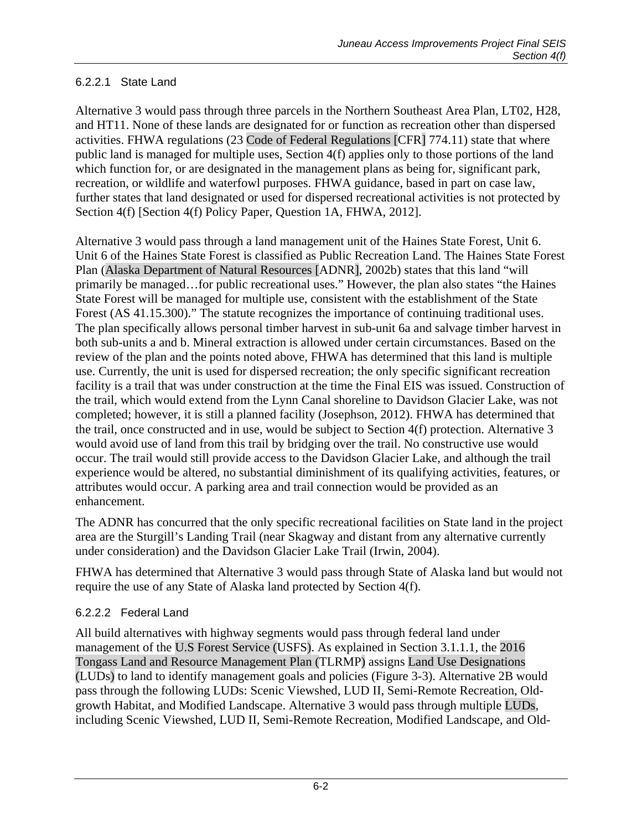#### <span id="page-1-0"></span>6.2.2.1 State Land

Alternative 3 would pass through three parcels in the Northern Southeast Area Plan, LT02, H28, and HT11. None of these lands are designated for or function as recreation other than dispersed activities. FHWA regulations (23 Code of Federal Regulations [CFR] 774.11) state that where public land is managed for multiple uses, Section 4(f) applies only to those portions of the land which function for, or are designated in the management plans as being for, significant park, recreation, or wildlife and waterfowl purposes. FHWA guidance, based in part on case law, further states that land designated or used for dispersed recreational activities is not protected by Section 4(f) [Section 4(f) Policy Paper, Question 1A, FHWA, 2012].

Alternative 3 would pass through a land management unit of the Haines State Forest, Unit 6. Unit 6 of the Haines State Forest is classified as Public Recreation Land. The Haines State Forest Plan (Alaska Department of Natural Resources [ADNR], 2002b) states that this land "will primarily be managed…for public recreational uses." However, the plan also states "the Haines State Forest will be managed for multiple use, consistent with the establishment of the State Forest (AS 41.15.300)." The statute recognizes the importance of continuing traditional uses. The plan specifically allows personal timber harvest in sub-unit 6a and salvage timber harvest in both sub-units a and b. Mineral extraction is allowed under certain circumstances. Based on the review of the plan and the points noted above, FHWA has determined that this land is multiple use. Currently, the unit is used for dispersed recreation; the only specific significant recreation facility is a trail that was under construction at the time the Final EIS was issued. Construction of the trail, which would extend from the Lynn Canal shoreline to Davidson Glacier Lake, was not completed; however, it is still a planned facility (Josephson, 2012). FHWA has determined that the trail, once constructed and in use, would be subject to Section 4(f) protection. Alternative 3 would avoid use of land from this trail by bridging over the trail. No constructive use would occur. The trail would still provide access to the Davidson Glacier Lake, and although the trail experience would be altered, no substantial diminishment of its qualifying activities, features, or attributes would occur. A parking area and trail connection would be provided as an enhancement.

The ADNR has concurred that the only specific recreational facilities on State land in the project area are the Sturgill's Landing Trail (near Skagway and distant from any alternative currently under consideration) and the Davidson Glacier Lake Trail (Irwin, 2004).

FHWA has determined that Alternative 3 would pass through State of Alaska land but would not require the use of any State of Alaska land protected by Section 4(f).

#### 6.2.2.2 Federal Land

All build alternatives with highway segments would pass through federal land under management of the U.S Forest Service (USFS). As explained in Section 3.1.1.1, the 2016 Tongass Land and Resource Management Plan (TLRMP) assigns Land Use Designations (LUDs) to land to identify management goals and policies (Figure 3-3). Alternative 2B would pass through the following LUDs: Scenic Viewshed, LUD II, Semi-Remote Recreation, Oldgrowth Habitat, and Modified Landscape. Alternative 3 would pass through multiple LUDs, including Scenic Viewshed, LUD II, Semi-Remote Recreation, Modified Landscape, and Old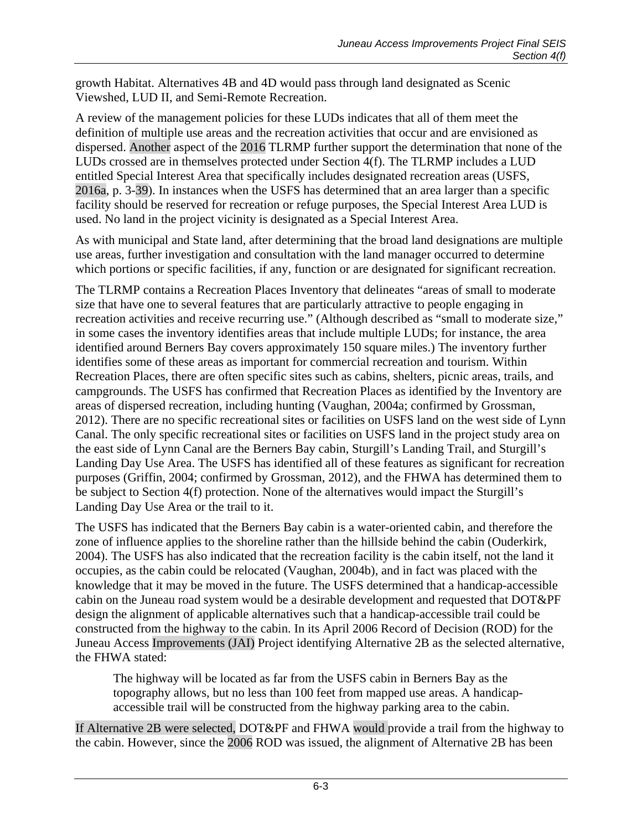growth Habitat. Alternatives 4B and 4D would pass through land designated as Scenic Viewshed, LUD II, and Semi-Remote Recreation.

A review of the management policies for these LUDs indicates that all of them meet the definition of multiple use areas and the recreation activities that occur and are envisioned as dispersed. Another aspect of the 2016 TLRMP further support the determination that none of the LUDs crossed are in themselves protected under Section 4(f). The TLRMP includes a LUD entitled Special Interest Area that specifically includes designated recreation areas (USFS, 2016a, p. 3-39). In instances when the USFS has determined that an area larger than a specific facility should be reserved for recreation or refuge purposes, the Special Interest Area LUD is used. No land in the project vicinity is designated as a Special Interest Area.

As with municipal and State land, after determining that the broad land designations are multiple use areas, further investigation and consultation with the land manager occurred to determine which portions or specific facilities, if any, function or are designated for significant recreation.

The TLRMP contains a Recreation Places Inventory that delineates "areas of small to moderate size that have one to several features that are particularly attractive to people engaging in recreation activities and receive recurring use." (Although described as "small to moderate size," in some cases the inventory identifies areas that include multiple LUDs; for instance, the area identified around Berners Bay covers approximately 150 square miles.) The inventory further identifies some of these areas as important for commercial recreation and tourism. Within Recreation Places, there are often specific sites such as cabins, shelters, picnic areas, trails, and campgrounds. The USFS has confirmed that Recreation Places as identified by the Inventory are areas of dispersed recreation, including hunting (Vaughan, 2004a; confirmed by Grossman, 2012). There are no specific recreational sites or facilities on USFS land on the west side of Lynn Canal. The only specific recreational sites or facilities on USFS land in the project study area on the east side of Lynn Canal are the Berners Bay cabin, Sturgill's Landing Trail, and Sturgill's Landing Day Use Area. The USFS has identified all of these features as significant for recreation purposes (Griffin, 2004; confirmed by Grossman, 2012), and the FHWA has determined them to be subject to Section 4(f) protection. None of the alternatives would impact the Sturgill's Landing Day Use Area or the trail to it.

The USFS has indicated that the Berners Bay cabin is a water-oriented cabin, and therefore the zone of influence applies to the shoreline rather than the hillside behind the cabin (Ouderkirk, 2004). The USFS has also indicated that the recreation facility is the cabin itself, not the land it occupies, as the cabin could be relocated (Vaughan, 2004b), and in fact was placed with the knowledge that it may be moved in the future. The USFS determined that a handicap-accessible cabin on the Juneau road system would be a desirable development and requested that DOT&PF design the alignment of applicable alternatives such that a handicap-accessible trail could be constructed from the highway to the cabin. In its April 2006 Record of Decision (ROD) for the Juneau Access Improvements (JAI) Project identifying Alternative 2B as the selected alternative, the FHWA stated:

The highway will be located as far from the USFS cabin in Berners Bay as the topography allows, but no less than 100 feet from mapped use areas. A handicapaccessible trail will be constructed from the highway parking area to the cabin.

If Alternative 2B were selected, DOT&PF and FHWA would provide a trail from the highway to the cabin. However, since the 2006 ROD was issued, the alignment of Alternative 2B has been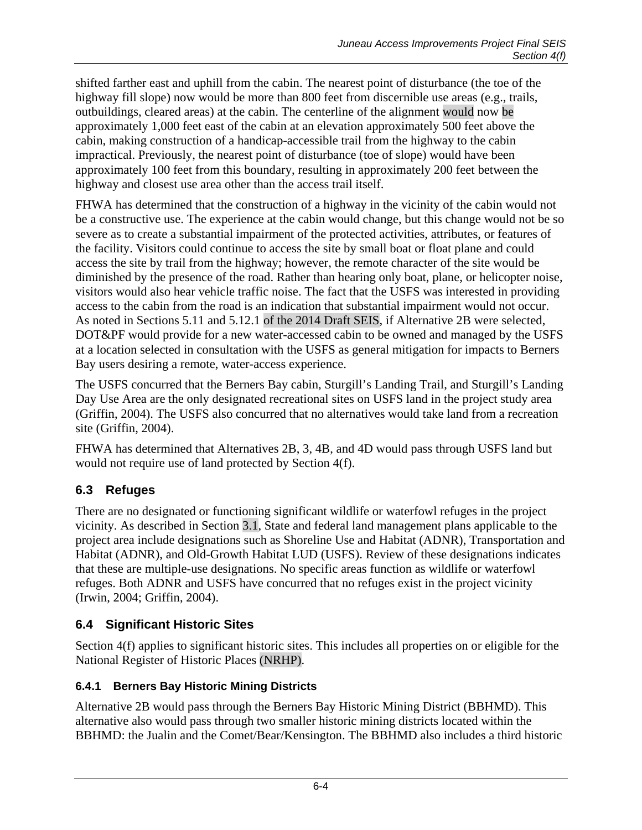shifted farther east and uphill from the cabin. The nearest point of disturbance (the toe of the highway fill slope) now would be more than 800 feet from discernible use areas (e.g., trails, outbuildings, cleared areas) at the cabin. The centerline of the alignment would now be approximately 1,000 feet east of the cabin at an elevation approximately 500 feet above the cabin, making construction of a handicap-accessible trail from the highway to the cabin impractical. Previously, the nearest point of disturbance (toe of slope) would have been approximately 100 feet from this boundary, resulting in approximately 200 feet between the highway and closest use area other than the access trail itself.

FHWA has determined that the construction of a highway in the vicinity of the cabin would not be a constructive use. The experience at the cabin would change, but this change would not be so severe as to create a substantial impairment of the protected activities, attributes, or features of the facility. Visitors could continue to access the site by small boat or float plane and could access the site by trail from the highway; however, the remote character of the site would be diminished by the presence of the road. Rather than hearing only boat, plane, or helicopter noise, visitors would also hear vehicle traffic noise. The fact that the USFS was interested in providing access to the cabin from the road is an indication that substantial impairment would not occur. As noted in Sections 5.11 and 5.12.1 of the 2014 Draft SEIS, if Alternative 2B were selected, DOT&PF would provide for a new water-accessed cabin to be owned and managed by the USFS at a location selected in consultation with the USFS as general mitigation for impacts to Berners Bay users desiring a remote, water-access experience.

The USFS concurred that the Berners Bay cabin, Sturgill's Landing Trail, and Sturgill's Landing Day Use Area are the only designated recreational sites on USFS land in the project study area (Griffin, 2004). The USFS also concurred that no alternatives would take land from a recreation site (Griffin, 2004).

FHWA has determined that Alternatives 2B, 3, 4B, and 4D would pass through USFS land but would not require use of land protected by Section 4(f).

# **6.3 Refuges**

There are no designated or functioning significant wildlife or waterfowl refuges in the project vicinity. As described in Section 3.1, State and federal land management plans applicable to the project area include designations such as Shoreline Use and Habitat (ADNR), Transportation and Habitat (ADNR), and Old-Growth Habitat LUD (USFS). Review of these designations indicates that these are multiple-use designations. No specific areas function as wildlife or waterfowl refuges. Both ADNR and USFS have concurred that no refuges exist in the project vicinity (Irwin, 2004; Griffin, 2004).

# **6.4 Significant Historic Sites**

Section 4(f) applies to significant historic sites. This includes all properties on or eligible for the National Register of Historic Places (NRHP).

# **6.4.1 Berners Bay Historic Mining Districts**

Alternative 2B would pass through the Berners Bay Historic Mining District (BBHMD). This alternative also would pass through two smaller historic mining districts located within the BBHMD: the Jualin and the Comet/Bear/Kensington. The BBHMD also includes a third historic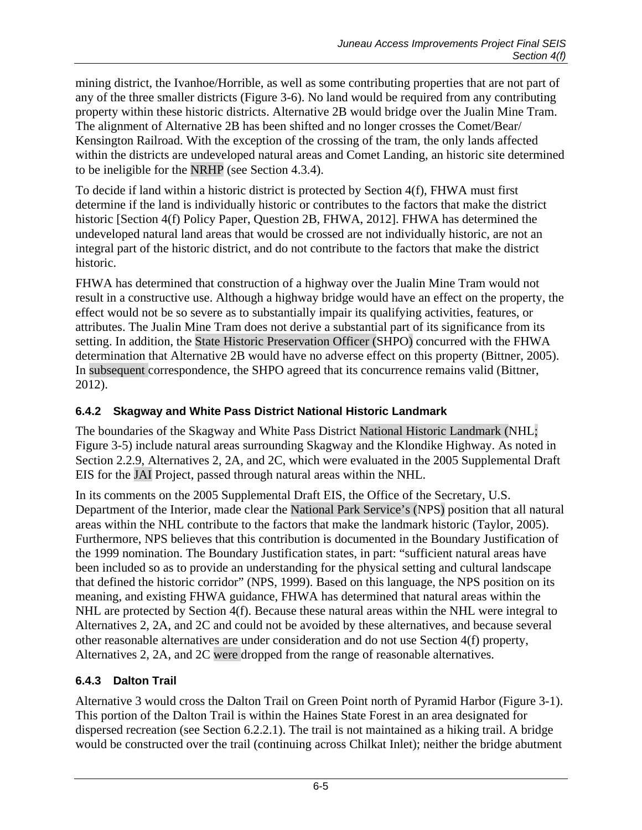mining district, the Ivanhoe/Horrible, as well as some contributing properties that are not part of any of the three smaller districts (Figure 3-6). No land would be required from any contributing property within these historic districts. Alternative 2B would bridge over the Jualin Mine Tram. The alignment of Alternative 2B has been shifted and no longer crosses the Comet/Bear/ Kensington Railroad. With the exception of the crossing of the tram, the only lands affected within the districts are undeveloped natural areas and Comet Landing, an historic site determined to be ineligible for the NRHP (see Section 4.3.4).

To decide if land within a historic district is protected by Section 4(f), FHWA must first determine if the land is individually historic or contributes to the factors that make the district historic [Section 4(f) Policy Paper, Question 2B, FHWA, 2012]. FHWA has determined the undeveloped natural land areas that would be crossed are not individually historic, are not an integral part of the historic district, and do not contribute to the factors that make the district historic.

FHWA has determined that construction of a highway over the Jualin Mine Tram would not result in a constructive use. Although a highway bridge would have an effect on the property, the effect would not be so severe as to substantially impair its qualifying activities, features, or attributes. The Jualin Mine Tram does not derive a substantial part of its significance from its setting. In addition, the State Historic Preservation Officer (SHPO) concurred with the FHWA determination that Alternative 2B would have no adverse effect on this property (Bittner, 2005). In subsequent correspondence, the SHPO agreed that its concurrence remains valid (Bittner, 2012).

#### **6.4.2 Skagway and White Pass District National Historic Landmark**

The boundaries of the Skagway and White Pass District National Historic Landmark (NHL; Figure 3-5) include natural areas surrounding Skagway and the Klondike Highway. As noted in Section 2.2.9, Alternatives 2, 2A, and 2C, which were evaluated in the 2005 Supplemental Draft EIS for the JAI Project, passed through natural areas within the NHL.

In its comments on the 2005 Supplemental Draft EIS, the Office of the Secretary, U.S. Department of the Interior, made clear the National Park Service's (NPS) position that all natural areas within the NHL contribute to the factors that make the landmark historic (Taylor, 2005). Furthermore, NPS believes that this contribution is documented in the Boundary Justification of the 1999 nomination. The Boundary Justification states, in part: "sufficient natural areas have been included so as to provide an understanding for the physical setting and cultural landscape that defined the historic corridor" (NPS, 1999). Based on this language, the NPS position on its meaning, and existing FHWA guidance, FHWA has determined that natural areas within the NHL are protected by Section 4(f). Because these natural areas within the NHL were integral to Alternatives 2, 2A, and 2C and could not be avoided by these alternatives, and because several other reasonable alternatives are under consideration and do not use Section 4(f) property, Alternatives 2, 2A, and 2C were dropped from the range of reasonable alternatives.

#### **6.4.3 Dalton Trail**

Alternative 3 would cross the Dalton Trail on Green Point north of Pyramid Harbor (Figure 3-1). This portion of the Dalton Trail is within the Haines State Forest in an area designated for dispersed recreation (see Section [6.2.2.1\)](#page-1-0). The trail is not maintained as a hiking trail. A bridge would be constructed over the trail (continuing across Chilkat Inlet); neither the bridge abutment